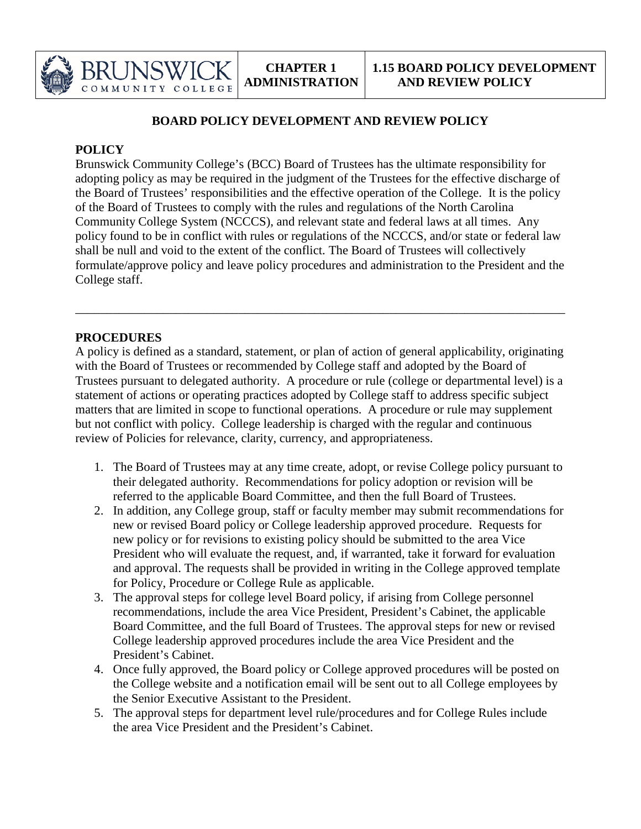

## **BOARD POLICY DEVELOPMENT AND REVIEW POLICY**

## **POLICY**

Brunswick Community College's (BCC) Board of Trustees has the ultimate responsibility for adopting policy as may be required in the judgment of the Trustees for the effective discharge of the Board of Trustees' responsibilities and the effective operation of the College. It is the policy of the Board of Trustees to comply with the rules and regulations of the North Carolina Community College System (NCCCS), and relevant state and federal laws at all times. Any policy found to be in conflict with rules or regulations of the NCCCS, and/or state or federal law shall be null and void to the extent of the conflict. The Board of Trustees will collectively formulate/approve policy and leave policy procedures and administration to the President and the College staff.

## **PROCEDURES**

A policy is defined as a standard, statement, or plan of action of general applicability, originating with the Board of Trustees or recommended by College staff and adopted by the Board of Trustees pursuant to delegated authority. A procedure or rule (college or departmental level) is a statement of actions or operating practices adopted by College staff to address specific subject matters that are limited in scope to functional operations. A procedure or rule may supplement but not conflict with policy. College leadership is charged with the regular and continuous review of Policies for relevance, clarity, currency, and appropriateness.

\_\_\_\_\_\_\_\_\_\_\_\_\_\_\_\_\_\_\_\_\_\_\_\_\_\_\_\_\_\_\_\_\_\_\_\_\_\_\_\_\_\_\_\_\_\_\_\_\_\_\_\_\_\_\_\_\_\_\_\_\_\_\_\_\_\_\_\_\_\_\_\_\_\_\_\_\_\_

- 1. The Board of Trustees may at any time create, adopt, or revise College policy pursuant to their delegated authority. Recommendations for policy adoption or revision will be referred to the applicable Board Committee, and then the full Board of Trustees.
- 2. In addition, any College group, staff or faculty member may submit recommendations for new or revised Board policy or College leadership approved procedure. Requests for new policy or for revisions to existing policy should be submitted to the area Vice President who will evaluate the request, and, if warranted, take it forward for evaluation and approval. The requests shall be provided in writing in the College approved template for Policy, Procedure or College Rule as applicable.
- 3. The approval steps for college level Board policy, if arising from College personnel recommendations, include the area Vice President, President's Cabinet, the applicable Board Committee, and the full Board of Trustees. The approval steps for new or revised College leadership approved procedures include the area Vice President and the President's Cabinet.
- 4. Once fully approved, the Board policy or College approved procedures will be posted on the College website and a notification email will be sent out to all College employees by the Senior Executive Assistant to the President.
- 5. The approval steps for department level rule/procedures and for College Rules include the area Vice President and the President's Cabinet.